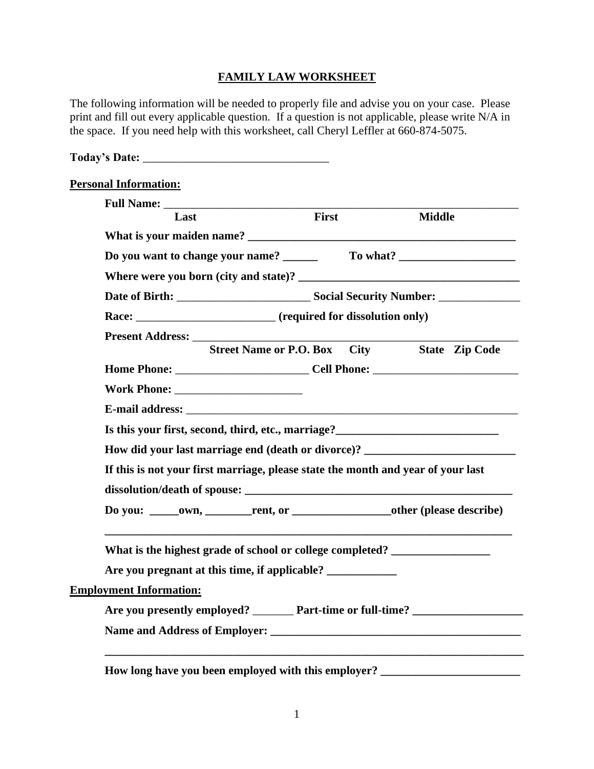## **FAMILY LAW WORKSHEET**

The following information will be needed to properly file and advise you on your case. Please print and fill out every applicable question. If a question is not applicable, please write N/A in the space. If you need help with this worksheet, call Cheryl Leffler at 660-874-5075.

| Last                                                                             | First | <b>Middle</b>                        |
|----------------------------------------------------------------------------------|-------|--------------------------------------|
|                                                                                  |       |                                      |
|                                                                                  |       |                                      |
|                                                                                  |       |                                      |
|                                                                                  |       |                                      |
| Race: ___________________________________ (required for dissolution only)        |       |                                      |
|                                                                                  |       |                                      |
| <b>Street Name or P.O. Box</b>                                                   |       | <b>City</b><br><b>State Zip Code</b> |
|                                                                                  |       |                                      |
|                                                                                  |       |                                      |
|                                                                                  |       |                                      |
|                                                                                  |       |                                      |
| How did your last marriage end (death or divorce)? _____________________________ |       |                                      |
| If this is not your first marriage, please state the month and year of your last |       |                                      |
|                                                                                  |       |                                      |
| Do you: _____own, ________rent, or _________________other (please describe)      |       |                                      |
| What is the highest grade of school or college completed? ______________________ |       |                                      |
|                                                                                  |       |                                      |
| <b>Employment Information:</b>                                                   |       |                                      |
| Are you presently employed? _______ Part-time or full-time? ____________________ |       |                                      |
|                                                                                  |       |                                      |

1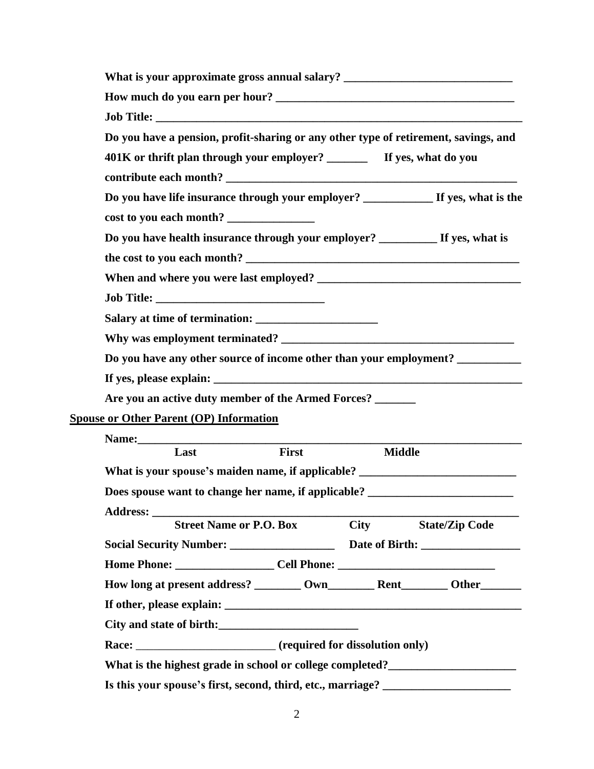|                |                                                                                |       |               | What is your approximate gross annual salary? __________________________________    |
|----------------|--------------------------------------------------------------------------------|-------|---------------|-------------------------------------------------------------------------------------|
|                |                                                                                |       |               |                                                                                     |
|                |                                                                                |       |               |                                                                                     |
|                |                                                                                |       |               | Do you have a pension, profit-sharing or any other type of retirement, savings, and |
|                |                                                                                |       |               |                                                                                     |
|                |                                                                                |       |               |                                                                                     |
|                |                                                                                |       |               |                                                                                     |
|                | cost to you each month?                                                        |       |               |                                                                                     |
|                | Do you have health insurance through your employer? __________ If yes, what is |       |               |                                                                                     |
|                |                                                                                |       |               |                                                                                     |
|                |                                                                                |       |               |                                                                                     |
|                |                                                                                |       |               |                                                                                     |
|                |                                                                                |       |               |                                                                                     |
|                |                                                                                |       |               |                                                                                     |
|                |                                                                                |       |               | Do you have any other source of income other than your employment? _____________    |
|                |                                                                                |       |               |                                                                                     |
|                | Are you an active duty member of the Armed Forces? ______                      |       |               |                                                                                     |
|                | <b>Spouse or Other Parent (OP) Information</b>                                 |       |               |                                                                                     |
|                |                                                                                |       |               |                                                                                     |
|                | Last                                                                           | First | <b>Middle</b> |                                                                                     |
|                |                                                                                |       |               | What is your spouse's maiden name, if applicable? ______________________________    |
|                |                                                                                |       |               | Does spouse want to change her name, if applicable? _____________________________   |
|                |                                                                                |       | City          | <b>State/Zip Code</b>                                                               |
| Address: _____ |                                                                                |       |               |                                                                                     |
|                | <b>Street Name or P.O. Box</b>                                                 |       |               |                                                                                     |
|                |                                                                                |       |               |                                                                                     |
|                |                                                                                |       |               |                                                                                     |
|                |                                                                                |       |               |                                                                                     |
|                |                                                                                |       |               |                                                                                     |
|                | Race: ___________________________________ (required for dissolution only)      |       |               |                                                                                     |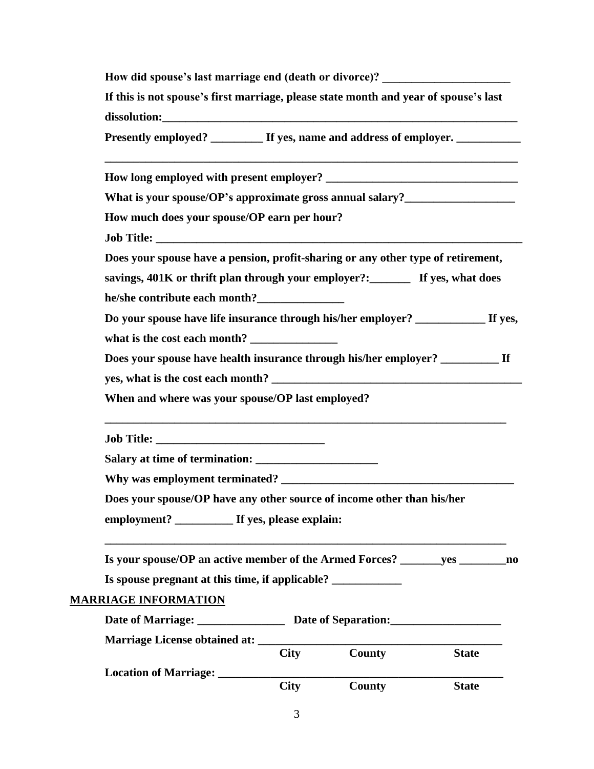| How did spouse's last marriage end (death or divorce)? _________________________     |
|--------------------------------------------------------------------------------------|
| If this is not spouse's first marriage, please state month and year of spouse's last |
| Presently employed? __________ If yes, name and address of employer. ___________     |
|                                                                                      |
| What is your spouse/OP's approximate gross annual salary?_______________________     |
| How much does your spouse/OP earn per hour?                                          |
|                                                                                      |
| Does your spouse have a pension, profit-sharing or any other type of retirement,     |
| savings, 401K or thrift plan through your employer?:_________ If yes, what does      |
|                                                                                      |
| Do your spouse have life insurance through his/her employer? ______________ If yes,  |
| what is the cost each month?                                                         |
| Does your spouse have health insurance through his/her employer? ___________ If      |
|                                                                                      |
| When and where was your spouse/OP last employed?                                     |
|                                                                                      |
|                                                                                      |
|                                                                                      |
| Does your spouse/OP have any other source of income other than his/her               |
| employment? If yes, please explain:                                                  |
| Is your spouse/OP an active member of the Armed Forces? ________ yes ________ no     |
| Is spouse pregnant at this time, if applicable? _________________________________    |
| <b>MARRIAGE INFORMATION</b>                                                          |
| Date of Marriage: Date of Separation:                                                |
|                                                                                      |
| County<br><b>City</b><br><b>State</b>                                                |
|                                                                                      |
| <b>City</b><br>County<br><b>State</b>                                                |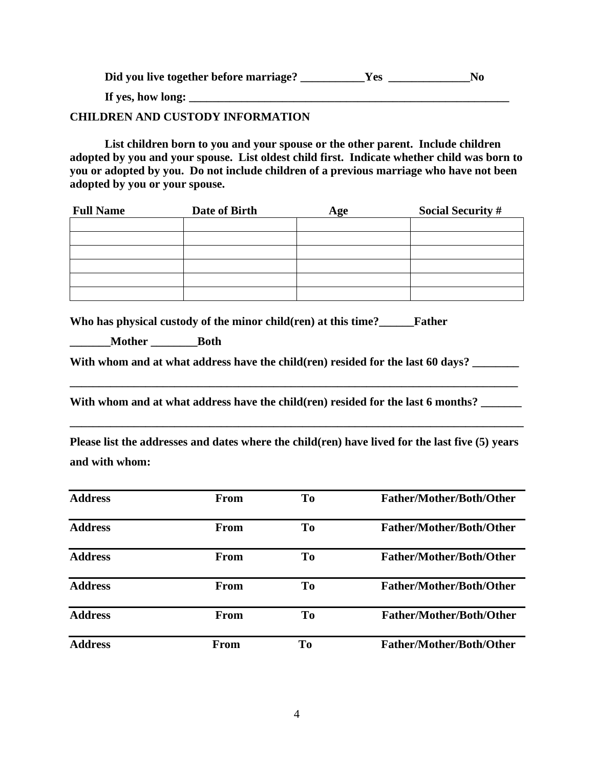| Did you live together before marriage? | r es | No |
|----------------------------------------|------|----|
| If yes, how long:                      |      |    |

## **CHILDREN AND CUSTODY INFORMATION**

**List children born to you and your spouse or the other parent. Include children adopted by you and your spouse. List oldest child first. Indicate whether child was born to you or adopted by you. Do not include children of a previous marriage who have not been adopted by you or your spouse.**

| <b>Full Name</b> | Date of Birth | Age | <b>Social Security #</b> |
|------------------|---------------|-----|--------------------------|
|                  |               |     |                          |
|                  |               |     |                          |
|                  |               |     |                          |
|                  |               |     |                          |
|                  |               |     |                          |
|                  |               |     |                          |

**Who has physical custody of the minor child(ren) at this time?\_\_\_\_\_\_Father** 

**\_\_\_\_\_\_\_Mother \_\_\_\_\_\_\_\_Both**

With whom and at what address have the child(ren) resided for the last 60 days?

**\_\_\_\_\_\_\_\_\_\_\_\_\_\_\_\_\_\_\_\_\_\_\_\_\_\_\_\_\_\_\_\_\_\_\_\_\_\_\_\_\_\_\_\_\_\_\_\_\_\_\_\_\_\_\_\_\_\_\_\_\_\_\_\_\_\_\_\_\_\_\_\_\_\_\_\_\_**

With whom and at what address have the child(ren) resided for the last 6 months?

**Please list the addresses and dates where the child(ren) have lived for the last five (5) years and with whom:**

**\_\_\_\_\_\_\_\_\_\_\_\_\_\_\_\_\_\_\_\_\_\_\_\_\_\_\_\_\_\_\_\_\_\_\_\_\_\_\_\_\_\_\_\_\_\_\_\_\_\_\_\_\_\_\_\_\_\_\_\_\_\_\_\_\_\_\_\_\_\_\_\_\_\_\_\_\_\_**

| <b>Address</b> | From        | T <sub>0</sub> | Father/Mother/Both/Other        |
|----------------|-------------|----------------|---------------------------------|
| <b>Address</b> | From        | T <sub>0</sub> | <b>Father/Mother/Both/Other</b> |
| <b>Address</b> | From        | T <sub>0</sub> | <b>Father/Mother/Both/Other</b> |
| <b>Address</b> | From        | T <sub>0</sub> | <b>Father/Mother/Both/Other</b> |
| <b>Address</b> | From        | T <sub>0</sub> | <b>Father/Mother/Both/Other</b> |
| <b>Address</b> | <b>From</b> | T <sub>0</sub> | <b>Father/Mother/Both/Other</b> |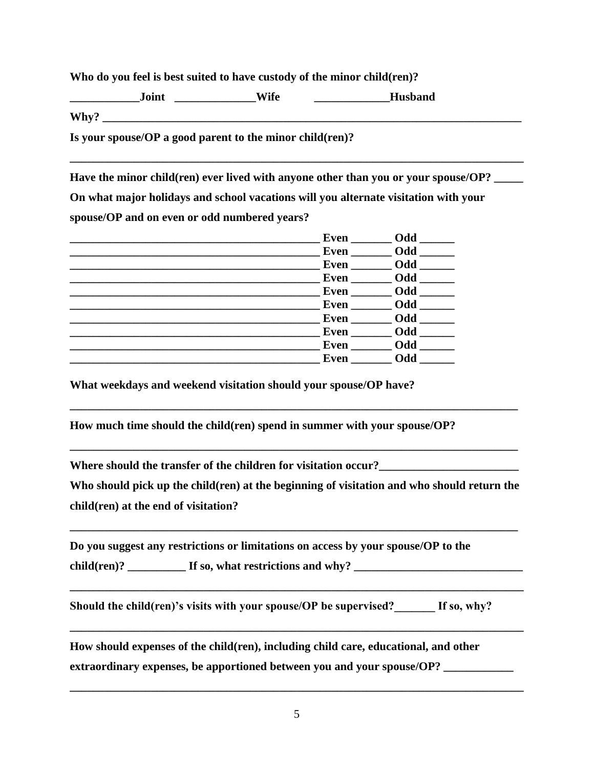**Who do you feel is best suited to have custody of the minor child(ren)?**

**\_\_\_\_\_\_\_\_\_\_\_\_Joint \_\_\_\_\_\_\_\_\_\_\_\_\_\_Wife \_\_\_\_\_\_\_\_\_\_\_\_\_Husband** Why? **Is your spouse/OP a good parent to the minor child(ren)?** 

**\_\_\_\_\_\_\_\_\_\_\_\_\_\_\_\_\_\_\_\_\_\_\_\_\_\_\_\_\_\_\_\_\_\_\_\_\_\_\_\_\_\_\_\_\_\_\_\_\_\_\_\_\_\_\_\_\_\_\_\_\_\_\_\_\_\_\_\_\_\_\_\_\_\_\_\_\_\_**

**Have the minor child(ren) ever lived with anyone other than you or your spouse/OP? \_\_\_\_\_ On what major holidays and school vacations will you alternate visitation with your spouse/OP and on even or odd numbered years?**

|             | Odd        |
|-------------|------------|
|             | Even Odd   |
|             | Even Odd   |
|             | Even Odd   |
| Even $\_\_$ | Odd        |
| Even Odd    |            |
| Even        | Odd        |
|             | Odd        |
| Even        | Odd        |
| Even        | <b>Odd</b> |

**What weekdays and weekend visitation should your spouse/OP have?**

**How much time should the child(ren) spend in summer with your spouse/OP?** 

Where should the transfer of the children for visitation occur?

**Who should pick up the child(ren) at the beginning of visitation and who should return the child(ren) at the end of visitation?** 

**\_\_\_\_\_\_\_\_\_\_\_\_\_\_\_\_\_\_\_\_\_\_\_\_\_\_\_\_\_\_\_\_\_\_\_\_\_\_\_\_\_\_\_\_\_\_\_\_\_\_\_\_\_\_\_\_\_\_\_\_\_\_\_\_\_\_\_\_\_\_\_\_\_\_\_\_\_**

**\_\_\_\_\_\_\_\_\_\_\_\_\_\_\_\_\_\_\_\_\_\_\_\_\_\_\_\_\_\_\_\_\_\_\_\_\_\_\_\_\_\_\_\_\_\_\_\_\_\_\_\_\_\_\_\_\_\_\_\_\_\_\_\_\_\_\_\_\_\_\_\_\_\_\_\_\_\_**

**\_\_\_\_\_\_\_\_\_\_\_\_\_\_\_\_\_\_\_\_\_\_\_\_\_\_\_\_\_\_\_\_\_\_\_\_\_\_\_\_\_\_\_\_\_\_\_\_\_\_\_\_\_\_\_\_\_\_\_\_\_\_\_\_\_\_\_\_\_\_\_\_\_\_\_\_\_\_**

**\_\_\_\_\_\_\_\_\_\_\_\_\_\_\_\_\_\_\_\_\_\_\_\_\_\_\_\_\_\_\_\_\_\_\_\_\_\_\_\_\_\_\_\_\_\_\_\_\_\_\_\_\_\_\_\_\_\_\_\_\_\_\_\_\_\_\_\_\_\_\_\_\_\_\_\_\_**

**\_\_\_\_\_\_\_\_\_\_\_\_\_\_\_\_\_\_\_\_\_\_\_\_\_\_\_\_\_\_\_\_\_\_\_\_\_\_\_\_\_\_\_\_\_\_\_\_\_\_\_\_\_\_\_\_\_\_\_\_\_\_\_\_\_\_\_\_\_\_\_\_\_\_\_\_\_**

**Do you suggest any restrictions or limitations on access by your spouse/OP to the** 

child(ren)? \_\_\_\_\_\_\_\_\_\_\_\_ If so, what restrictions and why? \_\_\_\_\_\_\_\_\_\_\_\_\_\_\_\_\_\_\_\_\_\_\_

Should the child(ren)'s visits with your spouse/OP be supervised? If so, why?

**How should expenses of the child(ren), including child care, educational, and other extraordinary expenses, be apportioned between you and your spouse/OP? \_\_\_\_\_\_\_\_\_\_\_\_**

**\_\_\_\_\_\_\_\_\_\_\_\_\_\_\_\_\_\_\_\_\_\_\_\_\_\_\_\_\_\_\_\_\_\_\_\_\_\_\_\_\_\_\_\_\_\_\_\_\_\_\_\_\_\_\_\_\_\_\_\_\_\_\_\_\_\_\_\_\_\_\_\_\_\_\_\_\_\_**